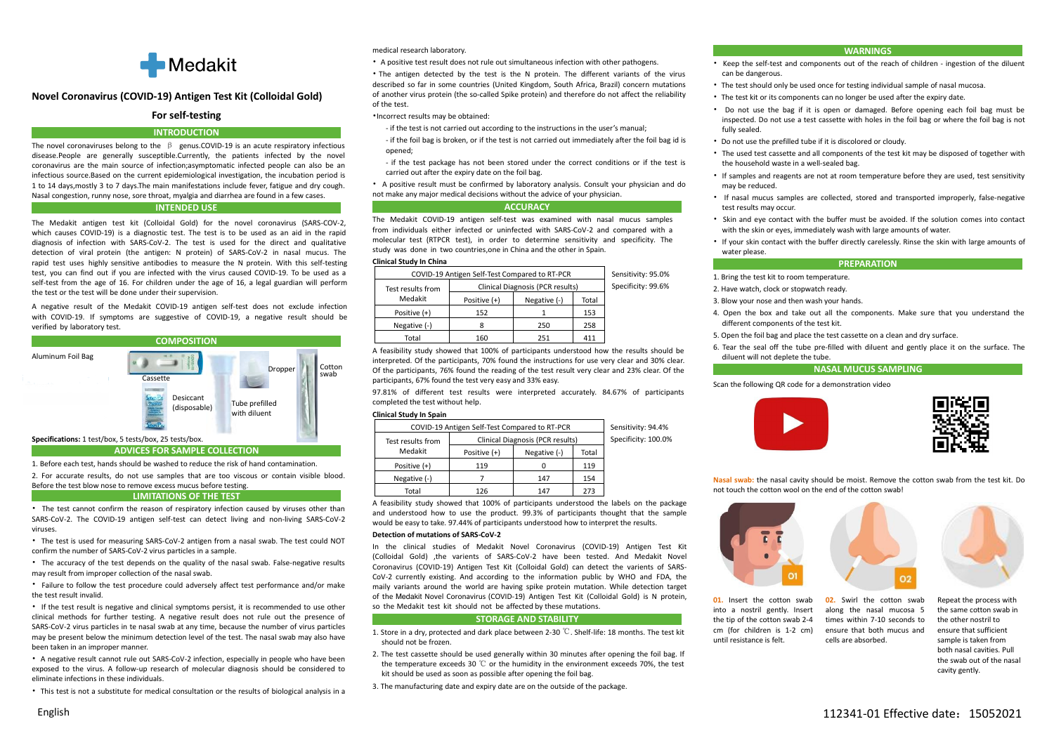

# **Novel Coronavirus (COVID-19) Antigen Test Kit (Colloidal Gold)**

# **For self-testing**

## **INTRODUCTION**

The novel coronaviruses belong to the  $\beta$  genus.COVID-19 is an acute respiratory infectious disease.People are generally susceptible.Currently, the patients infected by the novel coronavirus are the main source of infection;asymptomatic infected people can also be an infectious source.Based on the current epidemiological investigation, the incubation period is 1 to 14 days,mostly 3 to 7 days.The main manifestations include fever, fatigue and dry cough. Nasal congestion, runny nose, sore throat, myalgia and diarrhea are found in a few cases.

## **INTENDED USE**

The Medakit antigen test kit (Colloidal Gold) for the novel coronavirus (SARS-COV-2, which causes COVID-19) is a diagnostic test. The test is to be used as an aid in the rapid diagnosis of infection with SARS-CoV-2. The test is used for the direct and qualitative detection of viral protein (the antigen: N protein) of SARS-CoV-2 in nasal mucus. The test, you can find out if you are infected with the virus caused COVID-19. To be used as a rapid test uses highly sensitive antibodies to measure the N protein. With this self-testing self-test from the age of 16. For children under the age of 16, a legal guardian will perform the test or the test will be done under their supervision.

A negative result of the Medakit COVID-19 antigen self-test does not exclude infection with COVID-19. If symptoms are suggestive of COVID-19, a negative result should be verified by laboratory test.



1. Before each test, hands should be washed to reduce the risk of hand contamination.

2. For accurate results, do not use samples that are too viscous or contain visible blood.

#### Before the test blow nose to remove excess mucus before testing. **LIMITATIONS OF THE TEST**

• The test cannot confirm the reason of respiratory infection caused by viruses other than SARS-CoV-2. The COVID-19 antigen self-test can detect living and non-living SARS-CoV-2 viruses.

• The test is used for measuring SARS-CoV-2 antigen from a nasal swab. The test could NOT confirm the number of SARS-CoV-2 virus particles in a sample.

• The accuracy of the test depends on the quality of the nasal swab. False-negative results may result from improper collection of the nasal swab.

• Failure to follow the test procedure could adversely affect test performance and/or make the test result invalid.

• If the test result is negative and clinical symptoms persist, it is recommended to use other clinical methods for further testing. A negative result does not rule out the presence of SARS-CoV-2 virus particles in te nasal swab at any time, because the number of virus particles may be present below the minimum detection level of the test. The nasal swab may also have should not be frozen been taken in an improper manner.

• A negative result cannot rule out SARS-CoV-2 infection, especially in people who have been exposed to the virus. A follow-up research of molecular diagnosis should be considered to eliminate infections in these individuals.

• This test is not a substitute for medical consultation or the results of biological analysis in a

medical research laboratory.

• A positive test result does not rule out simultaneous infection with other pathogens.

• The antigen detected by the test is the N protein. The different variants of the virus described so far in some countries (United Kingdom, South Africa, Brazil) concern mutations of another virus protein (the so-called Spike protein) and therefore do not affect the reliability of the test.

•Incorrect results may be obtained:

- if the test is not carried out according to the instructions in the user's manual;
- if the foil bag is broken, or if the test is not carried out immediately after the foil bag id is opened;
- if the test package has not been stored under the correct conditions or if the test is carried out after the expiry date on the foil bag.

• A positive result must be confirmed by laboratory analysis. Consult your physician and do not make any major medical decisions without the advice of your physician.

### **ACCURACY**

The Medakit COVID-19 antigen self-test was examined with nasal mucus samples from individuals either infected or uninfected with SARS-CoV-2 and compared with a molecular test (RTPCR test), in order to determine sensitivity and specificity. The study was done in two countries,one in China and the other in Spain.

### **Clinical Study In China**

|                   | COVID-19 Antigen Self-Test Compared to RT-PCR |                                  |       | Sensitivity: 95.0% | 1. Bring the test kit to room temperature.                         |
|-------------------|-----------------------------------------------|----------------------------------|-------|--------------------|--------------------------------------------------------------------|
| Test results from |                                               | Clinical Diagnosis (PCR results) |       | Specificity: 99.6% | 2. Have watch, clock or stopwatch ready.                           |
| Medakit           | Positive (+)                                  | Negative (-)                     | Total |                    | 3. Blow your nose and then wash your hands.                        |
| Positive (+)      | 152                                           |                                  | 153   |                    | 4. Open the box and take out all the components. Make su           |
| Negative (-)      |                                               | 250                              | 258   |                    | different components of the test kit.                              |
| Total             | 160                                           | 251                              | 411   |                    | 5. Open the foil bag and place the test cassette on a clean and dr |

A feasibility study showed that 100% of participants understood how the results should be interpreted. Of the participants, 70% found the instructions for use very clear and 30% clear. Of the participants, 76% found the reading of the test result very clear and 23% clear. Of the swab for the participants, 70% found the reading of the test result very clear and 23% cie<br>participants, 67% found the test very easy and 33% easy.

> 97.81% of different test results were interpreted accurately. 84.67% of participants completed the test without help.

### **Clinical Study In Spain**

|                   | COVID-19 Antigen Self-Test Compared to RT-PCR |                                  |       | Sensitivity: 94.4%  |                      |
|-------------------|-----------------------------------------------|----------------------------------|-------|---------------------|----------------------|
| Test results from |                                               | Clinical Diagnosis (PCR results) |       | Specificity: 100.0% |                      |
| Medakit           | Positive (+)                                  | Negative (-)                     | Total |                     |                      |
| Positive (+)      | 119                                           |                                  | 119   |                     |                      |
| Negative (-)      |                                               | 147                              | 154   |                     | Nasal swab: the nasa |
| Total             | 126                                           | 147                              | 273   |                     | not touch the cotton |

A feasibility study showed that 100% of participants understood the labels on the package and understood how to use the product. 99.3% of participants thought that the sample would be easy to take. 97.44% of participants understood how to interpret the results.

## Detection of mutations of SARS-CoV-2

In the clinical studies of Medakit Novel Coronavirus (COVID-19) Antigen Test Kit (Colloidal Gold) ,the varients of SARS-CoV-2 have been tested. And Medakit Novel Coronavirus (COVID-19) Antigen Test Kit (Colloidal Gold) can detect the varients of SARS-CoV-2 currently existing. And according to the information public by WHO and FDA, the maily variants around the world are having spike protein mutation. While detection target of the Medakit Novel Coronavirus (COVID-19) Antigen Test Kit (Colloidal Gold) is N protein, so the Medakit test kit should not be affected by these mutations.

## **STORAGE AND STABILITY**

- 1. Store in a dry, protected and dark place between 2-30 ℃. Shelf-life: 18 months. The test kit cm (for children is<br>hould not be frozen.
- 2. The test cassette should be used generally within 30 minutes after opening the foil bag. If the temperature exceeds 30 ℃ or the humidity in the environment exceeds 70%, the test kit should be used as soon as possible after opening the foil bag.
- 3. The manufacturing date and expiry date are on the outside of the package.

### **WARNINGS**

- Keep the self-test and components out of the reach of children ingestion of the diluent can be dangerous.
- The test should only be used once for testing individual sample of nasal mucosa.
- The test kit or its components can no longer be used after the expiry date.
- Do not use the bag if it is open or damaged. Before opening each foil bag must be inspected. Do not use a test cassette with holes in the foil bag or where the foil bag is not fully sealed.
- Do not use the prefilled tube if it is discolored or cloudy.
- The used test cassette and all components of the test kitmay be disposed of together with the household waste in a well-sealed bag.
- If samples and reagents are not at room temperature before they are used, test sensitivity may be reduced.
- If nasal mucus samples are collected, stored and transported improperly, false-negative test results may occur.
- Skin and eye contact with the buffer must be avoided. If the solution comes into contact with the skin or eyes, immediately wash with large amounts of water.
- If your skin contact with the buffer directly carelessly. Rinse the skin with large amounts of water please.

## **PREPARATION**

- 
- 
- 3. Blow your nose and then wash your hands.
- 4. Open the box and take out all the components. Make sure that you understand the
- 5. Open the foil bag and place the test cassette on a clean and dry surface.
- 6. Tear the seal off the tube pre-filled with diluent and gently place it on the surface. The diluent will not deplete the tube.

### **NASAL MUCUS SAMPLING**

Scan the following QR code for a demonstration video





**Nasal swab:** the nasal cavity should be moist. Remove the cotton swab from the test kit.Do not touch the cotton wool on the end of the cotton swab!



**01.** Insert the cotton swab **02.** Swirl the cotton swab into a nostril gently. Insert the tip of the cotton swab 2-4 cm (for children is 1-2 cm) **01.** Insert the cotton swab **02.** Swirl the cotton swab Repeat the process with a nostril gently. Insert along the nasal mucosa 5 the same cotton swab the tip of the cotton swab 2-4 times within 7-10 seconds to the other along the nasal mucosa 5 times within 7-10 seconds to ensure that both mucus and

**02.** Swirl the cotton swab Repeat the process with along the nasal mucosa 5 the same cotton swab in times within 7-10 seconds to the other nostril to ensure that sufficient cells are absorbed. Sample is taken from the same cotton swab in the other nostril to ensure that sufficient sample is taken from both nasal cavities. Pull the swab out of the nasal cavity gently.